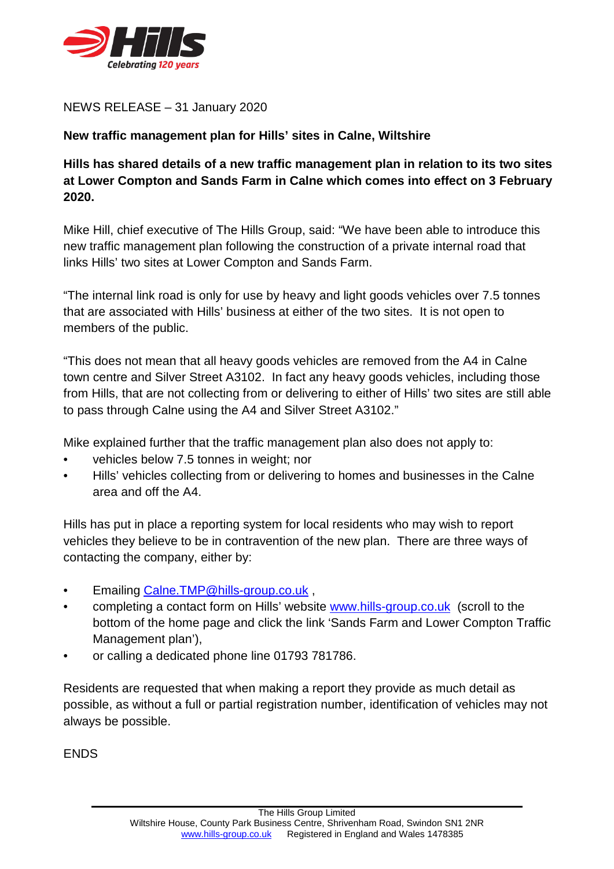

NEWS RELEASE – 31 January 2020

## **New traffic management plan for Hills' sites in Calne, Wiltshire**

## **Hills has shared details of a new traffic management plan in relation to its two sites at Lower Compton and Sands Farm in Calne which comes into effect on 3 February 2020.**

Mike Hill, chief executive of The Hills Group, said: "We have been able to introduce this new traffic management plan following the construction of a private internal road that links Hills' two sites at Lower Compton and Sands Farm.

"The internal link road is only for use by heavy and light goods vehicles over 7.5 tonnes that are associated with Hills' business at either of the two sites. It is not open to members of the public.

"This does not mean that all heavy goods vehicles are removed from the A4 in Calne town centre and Silver Street A3102. In fact any heavy goods vehicles, including those from Hills, that are not collecting from or delivering to either of Hills' two sites are still able to pass through Calne using the A4 and Silver Street A3102."

Mike explained further that the traffic management plan also does not apply to:

- vehicles below 7.5 tonnes in weight; nor
- Hills' vehicles collecting from or delivering to homes and businesses in the Calne area and off the A4.

Hills has put in place a reporting system for local residents who may wish to report vehicles they believe to be in contravention of the new plan. There are three ways of contacting the company, either by:

- Emailing [Calne.TMP@hills-group.co.uk](mailto:Calne.TMP@hills-group.co.uk) ,
- completing a contact form on Hills' website [www.hills-group.co.uk](http://www.hills-group.co.uk/) (scroll to the bottom of the home page and click the link 'Sands Farm and Lower Compton Traffic Management plan'),
- or calling a dedicated phone line 01793 781786.

Residents are requested that when making a report they provide as much detail as possible, as without a full or partial registration number, identification of vehicles may not always be possible.

**FNDS**